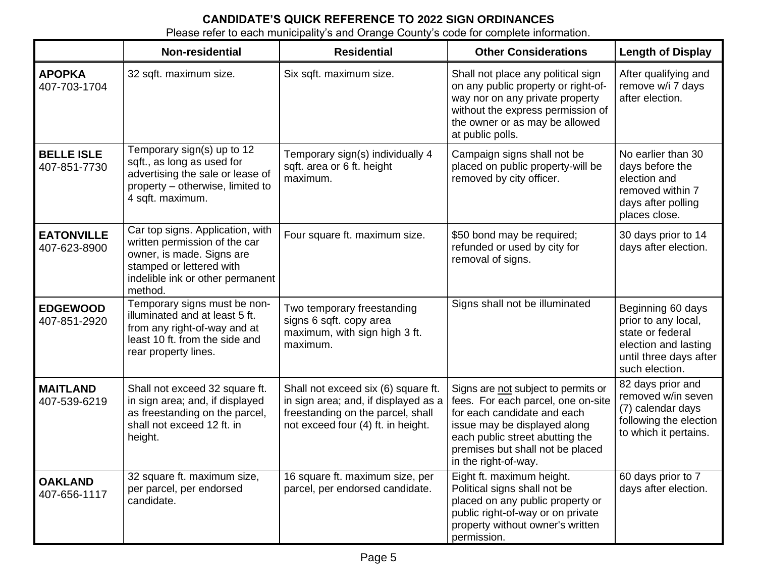## **CANDIDATE'S QUICK REFERENCE TO 2022 SIGN ORDINANCES**

Please refer to each municipality's and Orange County's code for complete information.

|                                   | Non-residential                                                                                                                                                           | <b>Residential</b>                                                                                                                                     | <b>Other Considerations</b>                                                                                                                                                                                                             | <b>Length of Display</b>                                                                                                         |
|-----------------------------------|---------------------------------------------------------------------------------------------------------------------------------------------------------------------------|--------------------------------------------------------------------------------------------------------------------------------------------------------|-----------------------------------------------------------------------------------------------------------------------------------------------------------------------------------------------------------------------------------------|----------------------------------------------------------------------------------------------------------------------------------|
| <b>APOPKA</b><br>407-703-1704     | 32 sqft. maximum size.                                                                                                                                                    | Six sqft. maximum size.                                                                                                                                | Shall not place any political sign<br>on any public property or right-of-<br>way nor on any private property<br>without the express permission of<br>the owner or as may be allowed<br>at public polls.                                 | After qualifying and<br>remove w/i 7 days<br>after election.                                                                     |
| <b>BELLE ISLE</b><br>407-851-7730 | Temporary sign(s) up to 12<br>sqft., as long as used for<br>advertising the sale or lease of<br>property - otherwise, limited to<br>4 sqft. maximum.                      | Temporary sign(s) individually 4<br>sqft. area or 6 ft. height<br>maximum.                                                                             | Campaign signs shall not be<br>placed on public property-will be<br>removed by city officer.                                                                                                                                            | No earlier than 30<br>days before the<br>election and<br>removed within 7<br>days after polling<br>places close.                 |
| <b>EATONVILLE</b><br>407-623-8900 | Car top signs. Application, with<br>written permission of the car<br>owner, is made. Signs are<br>stamped or lettered with<br>indelible ink or other permanent<br>method. | Four square ft. maximum size.                                                                                                                          | \$50 bond may be required;<br>refunded or used by city for<br>removal of signs.                                                                                                                                                         | 30 days prior to 14<br>days after election.                                                                                      |
| <b>EDGEWOOD</b><br>407-851-2920   | Temporary signs must be non-<br>illuminated and at least 5 ft.<br>from any right-of-way and at<br>least 10 ft. from the side and<br>rear property lines.                  | Two temporary freestanding<br>signs 6 sqft. copy area<br>maximum, with sign high 3 ft.<br>maximum.                                                     | Signs shall not be illuminated                                                                                                                                                                                                          | Beginning 60 days<br>prior to any local,<br>state or federal<br>election and lasting<br>until three days after<br>such election. |
| <b>MAITLAND</b><br>407-539-6219   | Shall not exceed 32 square ft.<br>in sign area; and, if displayed<br>as freestanding on the parcel,<br>shall not exceed 12 ft. in<br>height.                              | Shall not exceed six (6) square ft.<br>in sign area; and, if displayed as a<br>freestanding on the parcel, shall<br>not exceed four (4) ft. in height. | Signs are not subject to permits or<br>fees. For each parcel, one on-site<br>for each candidate and each<br>issue may be displayed along<br>each public street abutting the<br>premises but shall not be placed<br>in the right-of-way. | 82 days prior and<br>removed w/in seven<br>(7) calendar days<br>following the election<br>to which it pertains.                  |
| <b>OAKLAND</b><br>407-656-1117    | 32 square ft. maximum size,<br>per parcel, per endorsed<br>candidate.                                                                                                     | 16 square ft. maximum size, per<br>parcel, per endorsed candidate.                                                                                     | Eight ft. maximum height.<br>Political signs shall not be<br>placed on any public property or<br>public right-of-way or on private<br>property without owner's written<br>permission.                                                   | 60 days prior to 7<br>days after election.                                                                                       |